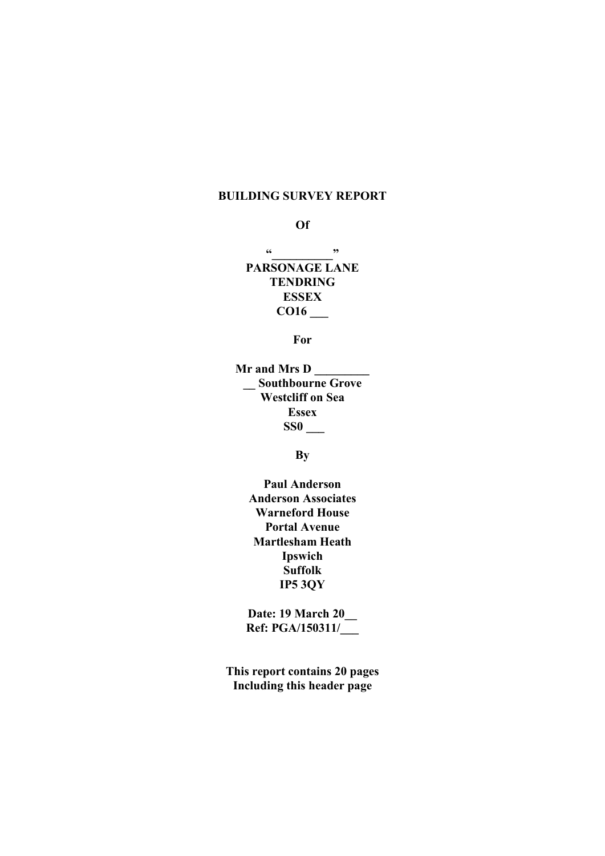# BUILDING SURVEY REPORT

#### Of

 $\frac{1}{2}$  .

PARSONAGE LANE **TENDRING** ESSEX  $\frac{\text{CO16}}{\text{O16}}$ 

For

Mr and Mrs D \_\_\_\_\_\_\_\_\_ \_\_ Southbourne Grove Westcliff on Sea Essex SS0 \_\_\_

**B**<sub>V</sub>

Paul Anderson Anderson Associates Warneford House Portal Avenue Martlesham Heath Ipswich Suffolk IP5 3QY

Date: 19 March 20\_ Ref: PGA/150311/\_\_\_

This report contains 20 pages Including this header page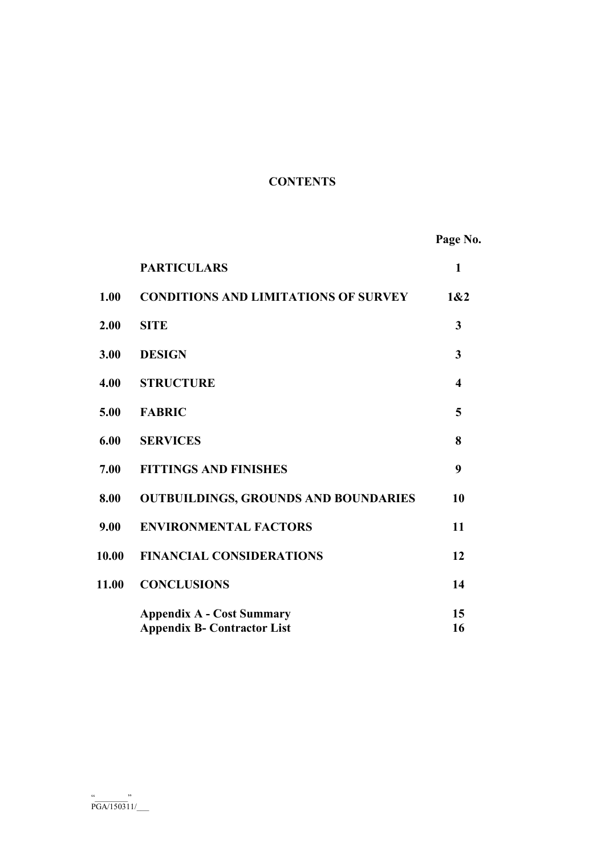# **CONTENTS**

Page No.

|       | <b>PARTICULARS</b>                                                     | $\mathbf{1}$ |
|-------|------------------------------------------------------------------------|--------------|
| 1.00  | <b>CONDITIONS AND LIMITATIONS OF SURVEY</b>                            | 1&2          |
| 2.00  | <b>SITE</b>                                                            | 3            |
| 3.00  | <b>DESIGN</b>                                                          | 3            |
| 4.00  | <b>STRUCTURE</b>                                                       | 4            |
| 5.00  | <b>FABRIC</b>                                                          | 5            |
| 6.00  | <b>SERVICES</b>                                                        | 8            |
| 7.00  | <b>FITTINGS AND FINISHES</b>                                           | 9            |
| 8.00  | <b>OUTBUILDINGS, GROUNDS AND BOUNDARIES</b>                            | 10           |
| 9.00  | <b>ENVIRONMENTAL FACTORS</b>                                           | 11           |
| 10.00 | <b>FINANCIAL CONSIDERATIONS</b>                                        | 12           |
| 11.00 | <b>CONCLUSIONS</b>                                                     | 14           |
|       | <b>Appendix A - Cost Summary</b><br><b>Appendix B- Contractor List</b> | 15<br>16     |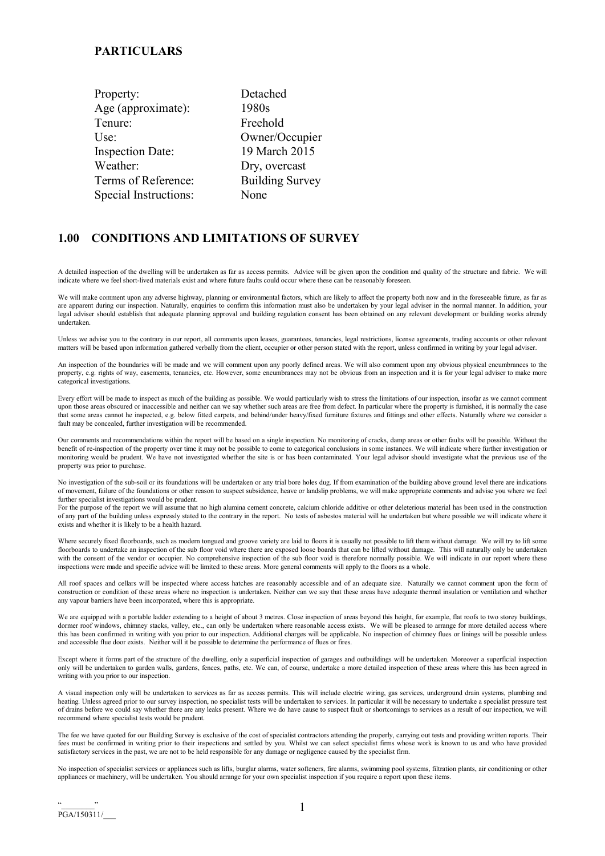| Detached               |
|------------------------|
| 1980s                  |
| Freehold               |
| Owner/Occupier         |
| 19 March 2015          |
| Dry, overcast          |
| <b>Building Survey</b> |
| None                   |
|                        |

#### 1.00 CONDITIONS AND LIMITATIONS OF SURVEY

A detailed inspection of the dwelling will be undertaken as far as access permits. Advice will be given upon the condition and quality of the structure and fabric. We will indicate where we feel short-lived materials exist and where future faults could occur where these can be reasonably foreseen.

We will make comment upon any adverse highway, planning or environmental factors, which are likely to affect the property both now and in the foreseeable future, as far as are apparent during our inspection. Naturally, enquiries to confirm this information must also be undertaken by your legal adviser in the normal manner. In addition, your legal adviser should establish that adequate planning approval and building regulation consent has been obtained on any relevant development or building works already undertaken.

Unless we advise you to the contrary in our report, all comments upon leases, guarantees, tenancies, legal restrictions, license agreements, trading accounts or other relevant matters will be based upon information gathered verbally from the client, occupier or other person stated with the report, unless confirmed in writing by your legal adviser.

An inspection of the boundaries will be made and we will comment upon any poorly defined areas. We will also comment upon any obvious physical encumbrances to the property, e.g. rights of way, easements, tenancies, etc. However, some encumbrances may not be obvious from an inspection and it is for your legal adviser to make more categorical investigations.

Every effort will be made to inspect as much of the building as possible. We would particularly wish to stress the limitations of our inspection, insofar as we cannot comment upon those areas obscured or inaccessible and neither can we say whether such areas are free from defect. In particular where the property is furnished, it is normally the case that some areas cannot he inspected, e.g. below fitted carpets, and behind/under heavy/fixed furniture fixtures and fittings and other effects. Naturally where we consider a fault may be concealed, further investigation will be recommended.

Our comments and recommendations within the report will be based on a single inspection. No monitoring of cracks, damp areas or other faults will be possible. Without the benefit of re-inspection of the property over time it may not be possible to come to categorical conclusions in some instances. We will indicate where further investigation or monitoring would be prudent. We have not investigated whether the site is or has been contaminated. Your legal advisor should investigate what the previous use of the property was prior to purchase.

No investigation of the sub-soil or its foundations will be undertaken or any trial bore holes dug. If from examination of the building above ground level there are indications of movement, failure of the foundations or other reason to suspect subsidence, heave or landslip problems, we will make appropriate comments and advise you where we feel further specialist investigations would be prudent.

For the purpose of the report we will assume that no high alumina cement concrete, calcium chloride additive or other deleterious material has been used in the construction of any part of the building unless expressly stated to the contrary in the report. No tests of asbestos material will he undertaken but where possible we will indicate where it exists and whether it is likely to be a health hazard.

Where securely fixed floorboards, such as modern tongued and groove variety are laid to floors it is usually not possible to lift them without damage. We will try to lift some floorboards to undertake an inspection of the sub floor void where there are exposed loose boards that can be lifted without damage. This will naturally only be undertaken with the consent of the vendor or occupier. No comprehensive inspection of the sub floor void is therefore normally possible. We will indicate in our report where these inspections were made and specific advice will be limited to these areas. More general comments will apply to the floors as a whole.

All roof spaces and cellars will be inspected where access hatches are reasonably accessible and of an adequate size. Naturally we cannot comment upon the form of construction or condition of these areas where no inspection is undertaken. Neither can we say that these areas have adequate thermal insulation or ventilation and whether any vapour barriers have been incorporated, where this is appropriate.

We are equipped with a portable ladder extending to a height of about 3 metres. Close inspection of areas beyond this height, for example, flat roofs to two storey buildings, dormer roof windows, chimney stacks, valley, etc., can only be undertaken where reasonable access exists. We will be pleased to arrange for more detailed access where this has been confirmed in writing with you prior to our inspection. Additional charges will be applicable. No inspection of chimney flues or linings will be possible unless and accessible flue door exists. Neither will it be possible to determine the performance of flues or fires.

Except where it forms part of the structure of the dwelling, only a superficial inspection of garages and outbuildings will be undertaken. Moreover a superficial inspection only will be undertaken to garden walls, gardens, fences, paths, etc. We can, of course, undertake a more detailed inspection of these areas where this has been agreed in writing with you prior to our inspection.

A visual inspection only will be undertaken to services as far as access permits. This will include electric wiring, gas services, underground drain systems, plumbing and heating. Unless agreed prior to our survey inspection, no specialist tests will be undertaken to services. In particular it will be necessary to undertake a specialist pressure test of drains before we could say whether there are any leaks present. Where we do have cause to suspect fault or shortcomings to services as a result of our inspection, we will recommend where specialist tests would be prudent.

The fee we have quoted for our Building Survey is exclusive of the cost of specialist contractors attending the properly, carrying out tests and providing written reports. Their fees must be confirmed in writing prior to their inspections and settled by you. Whilst we can select specialist firms whose work is known to us and who have provided satisfactory services in the past, we are not to be held responsible for any damage or negligence caused by the specialist firm.

No inspection of specialist services or appliances such as lifts, burglar alarms, water softeners, fire alarms, swimming pool systems, filtration plants, air conditioning or other appliances or machinery, will be undertaken. You should arrange for your own specialist inspection if you require a report upon these items.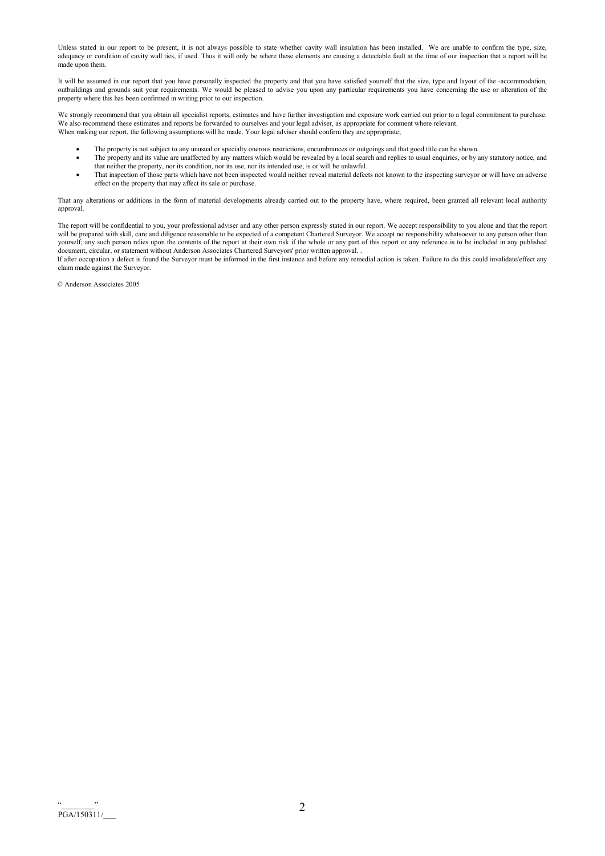Unless stated in our report to be present, it is not always possible to state whether cavity wall insulation has been installed. We are unable to confirm the type, size, adequacy or condition of cavity wall ties, if used. Thus it will only be where these elements are causing a detectable fault at the time of our inspection that a report will be made upon them.

It will be assumed in our report that you have personally inspected the property and that you have satisfied yourself that the size, type and layout of the -accommodation, outbuildings and grounds suit your requirements. We would be pleased to advise you upon any particular requirements you have concerning the use or alteration of the property where this has been confirmed in writing prior to our inspection.

We strongly recommend that you obtain all specialist reports, estimates and have further investigation and exposure work carried out prior to a legal commitment to purchase. We also recommend these estimates and reports be forwarded to ourselves and your legal adviser, as appropriate for comment where relevant. When making our report, the following assumptions will he made. Your legal adviser should confirm they are appropriate;

- The property is not subject to any unusual or specialty onerous restrictions, encumbrances or outgoings and that good title can be shown.
- The property and its value are unaffected by any matters which would be revealed by a local search and replies to usual enquiries, or by any statutory notice, and that neither the property, nor its condition, nor its use, nor its intended use, is or will be unlawful.
- That inspection of those parts which have not been inspected would neither reveal material defects not known to the inspecting surveyor or will have an adverse effect on the property that may affect its sale or purchase.

That any alterations or additions in the form of material developments already carried out to the property have, where required, been granted all relevant local authority approval.

The report will be confidential to you, your professional adviser and any other person expressly stated in our report. We accept responsibility to you alone and that the report will be prepared with skill, care and diligence reasonable to be expected of a competent Chartered Surveyor. We accept no responsibility whatsoever to any person other than yourself; any such person relies upon the contents of the report at their own risk if the whole or any part of this report or any reference is to be included in any published document, circular, or statement without Anderson Associates Chartered Surveyors' prior written approval. .

If after occupation a defect is found the Surveyor must be informed in the first instance and before any remedial action is taken. Failure to do this could invalidate/effect any claim made against the Surveyor.

© Anderson Associates 2005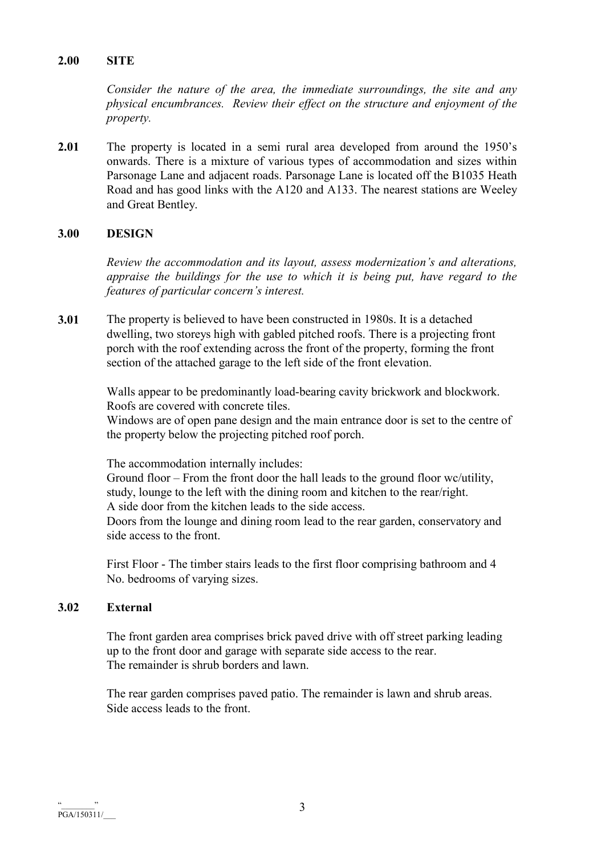# 2.00 SITE

Consider the nature of the area, the immediate surroundings, the site and any physical encumbrances. Review their effect on the structure and enjoyment of the property.

2.01 The property is located in a semi rural area developed from around the 1950's onwards. There is a mixture of various types of accommodation and sizes within Parsonage Lane and adjacent roads. Parsonage Lane is located off the B1035 Heath Road and has good links with the A120 and A133. The nearest stations are Weeley and Great Bentley.

# 3.00 DESIGN

Review the accommodation and its layout, assess modernization's and alterations, appraise the buildings for the use to which it is being put, have regard to the features of particular concern's interest.

3.01 The property is believed to have been constructed in 1980s. It is a detached dwelling, two storeys high with gabled pitched roofs. There is a projecting front porch with the roof extending across the front of the property, forming the front section of the attached garage to the left side of the front elevation.

> Walls appear to be predominantly load-bearing cavity brickwork and blockwork. Roofs are covered with concrete tiles.

Windows are of open pane design and the main entrance door is set to the centre of the property below the projecting pitched roof porch.

The accommodation internally includes:

Ground floor – From the front door the hall leads to the ground floor wc/utility, study, lounge to the left with the dining room and kitchen to the rear/right. A side door from the kitchen leads to the side access. Doors from the lounge and dining room lead to the rear garden, conservatory and side access to the front.

 First Floor - The timber stairs leads to the first floor comprising bathroom and 4 No. bedrooms of varying sizes.

## 3.02 External

 The front garden area comprises brick paved drive with off street parking leading up to the front door and garage with separate side access to the rear. The remainder is shrub borders and lawn.

 The rear garden comprises paved patio. The remainder is lawn and shrub areas. Side access leads to the front.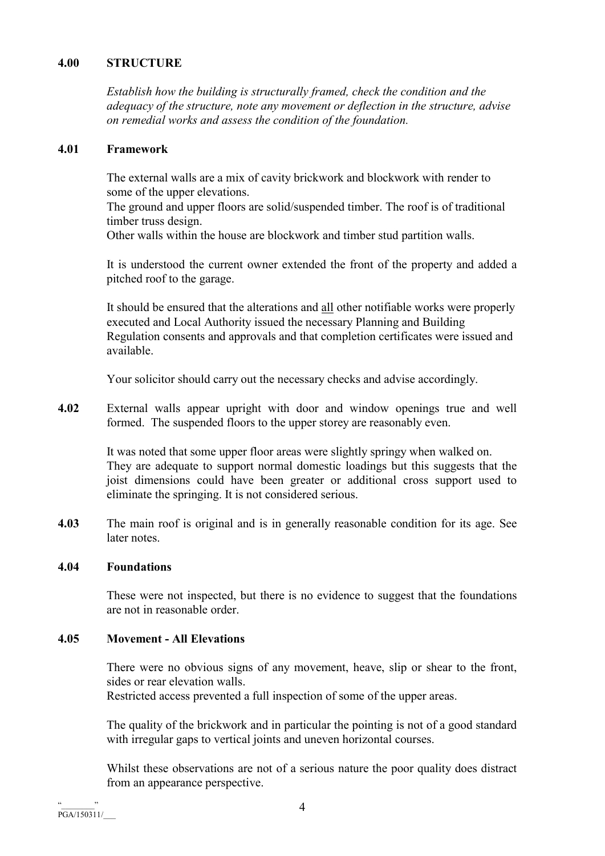# 4.00 STRUCTURE

Establish how the building is structurally framed, check the condition and the adequacy of the structure, note any movement or deflection in the structure, advise on remedial works and assess the condition of the foundation.

# 4.01 Framework

The external walls are a mix of cavity brickwork and blockwork with render to some of the upper elevations.

The ground and upper floors are solid/suspended timber. The roof is of traditional timber truss design.

Other walls within the house are blockwork and timber stud partition walls.

 It is understood the current owner extended the front of the property and added a pitched roof to the garage.

 It should be ensured that the alterations and all other notifiable works were properly executed and Local Authority issued the necessary Planning and Building Regulation consents and approvals and that completion certificates were issued and available.

Your solicitor should carry out the necessary checks and advise accordingly.

4.02 External walls appear upright with door and window openings true and well formed. The suspended floors to the upper storey are reasonably even.

> It was noted that some upper floor areas were slightly springy when walked on. They are adequate to support normal domestic loadings but this suggests that the joist dimensions could have been greater or additional cross support used to eliminate the springing. It is not considered serious.

4.03 The main roof is original and is in generally reasonable condition for its age. See later notes.

### 4.04 Foundations

These were not inspected, but there is no evidence to suggest that the foundations are not in reasonable order.

# 4.05 Movement - All Elevations

 There were no obvious signs of any movement, heave, slip or shear to the front, sides or rear elevation walls.

Restricted access prevented a full inspection of some of the upper areas.

The quality of the brickwork and in particular the pointing is not of a good standard with irregular gaps to vertical joints and uneven horizontal courses.

 Whilst these observations are not of a serious nature the poor quality does distract from an appearance perspective.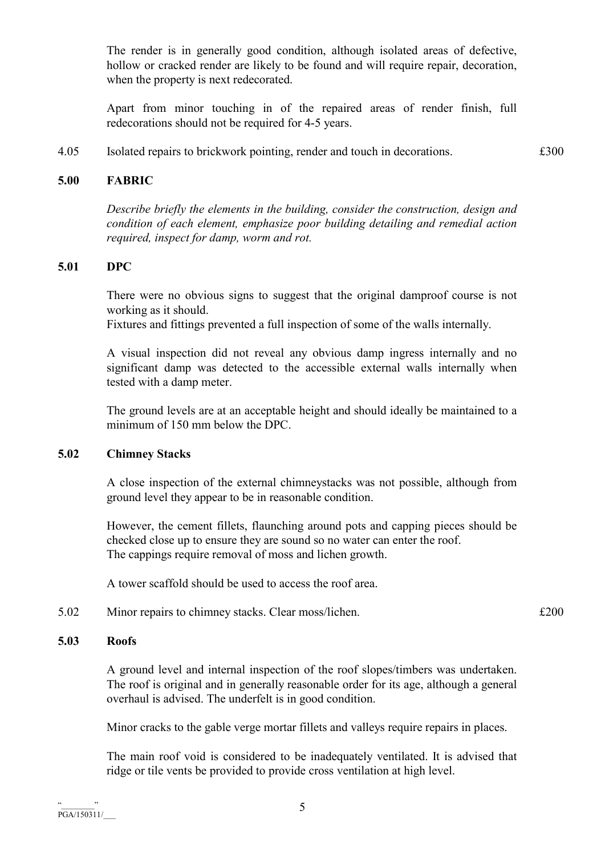The render is in generally good condition, although isolated areas of defective, hollow or cracked render are likely to be found and will require repair, decoration, when the property is next redecorated.

 Apart from minor touching in of the repaired areas of render finish, full redecorations should not be required for 4-5 years.

4.05 Isolated repairs to brickwork pointing, render and touch in decorations. £300

# 5.00 FABRIC

Describe briefly the elements in the building, consider the construction, design and condition of each element, emphasize poor building detailing and remedial action required, inspect for damp, worm and rot.

# 5.01 DPC

 There were no obvious signs to suggest that the original damproof course is not working as it should.

Fixtures and fittings prevented a full inspection of some of the walls internally.

 A visual inspection did not reveal any obvious damp ingress internally and no significant damp was detected to the accessible external walls internally when tested with a damp meter.

 The ground levels are at an acceptable height and should ideally be maintained to a minimum of 150 mm below the DPC.

### 5.02 Chimney Stacks

 A close inspection of the external chimneystacks was not possible, although from ground level they appear to be in reasonable condition.

 However, the cement fillets, flaunching around pots and capping pieces should be checked close up to ensure they are sound so no water can enter the roof. The cappings require removal of moss and lichen growth.

A tower scaffold should be used to access the roof area.

5.02 Minor repairs to chimney stacks. Clear moss/lichen.  $\text{£}200$ 

# 5.03 Roofs

 A ground level and internal inspection of the roof slopes/timbers was undertaken. The roof is original and in generally reasonable order for its age, although a general overhaul is advised. The underfelt is in good condition.

Minor cracks to the gable verge mortar fillets and valleys require repairs in places.

 The main roof void is considered to be inadequately ventilated. It is advised that ridge or tile vents be provided to provide cross ventilation at high level.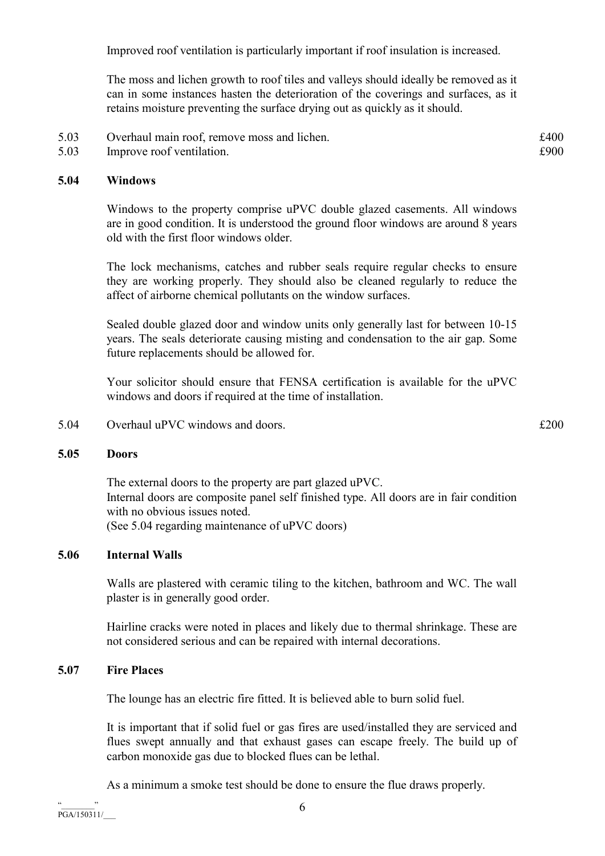Improved roof ventilation is particularly important if roof insulation is increased.

 The moss and lichen growth to roof tiles and valleys should ideally be removed as it can in some instances hasten the deterioration of the coverings and surfaces, as it retains moisture preventing the surface drying out as quickly as it should.

- 5.03 Overhaul main roof, remove moss and lichen. £400
- 5.03 Improve roof ventilation.  $\epsilon$ 900

#### 5.04 Windows

Windows to the property comprise uPVC double glazed casements. All windows are in good condition. It is understood the ground floor windows are around 8 years old with the first floor windows older.

 The lock mechanisms, catches and rubber seals require regular checks to ensure they are working properly. They should also be cleaned regularly to reduce the affect of airborne chemical pollutants on the window surfaces.

 Sealed double glazed door and window units only generally last for between 10-15 years. The seals deteriorate causing misting and condensation to the air gap. Some future replacements should be allowed for.

 Your solicitor should ensure that FENSA certification is available for the uPVC windows and doors if required at the time of installation.

5.04 Overhaul uPVC windows and doors.  $\epsilon$  200

#### 5.05 Doors

 The external doors to the property are part glazed uPVC. Internal doors are composite panel self finished type. All doors are in fair condition with no obvious issues noted. (See 5.04 regarding maintenance of uPVC doors)

#### 5.06 Internal Walls

 Walls are plastered with ceramic tiling to the kitchen, bathroom and WC. The wall plaster is in generally good order.

 Hairline cracks were noted in places and likely due to thermal shrinkage. These are not considered serious and can be repaired with internal decorations.

# 5.07 Fire Places

The lounge has an electric fire fitted. It is believed able to burn solid fuel.

 It is important that if solid fuel or gas fires are used/installed they are serviced and flues swept annually and that exhaust gases can escape freely. The build up of carbon monoxide gas due to blocked flues can be lethal.

As a minimum a smoke test should be done to ensure the flue draws properly.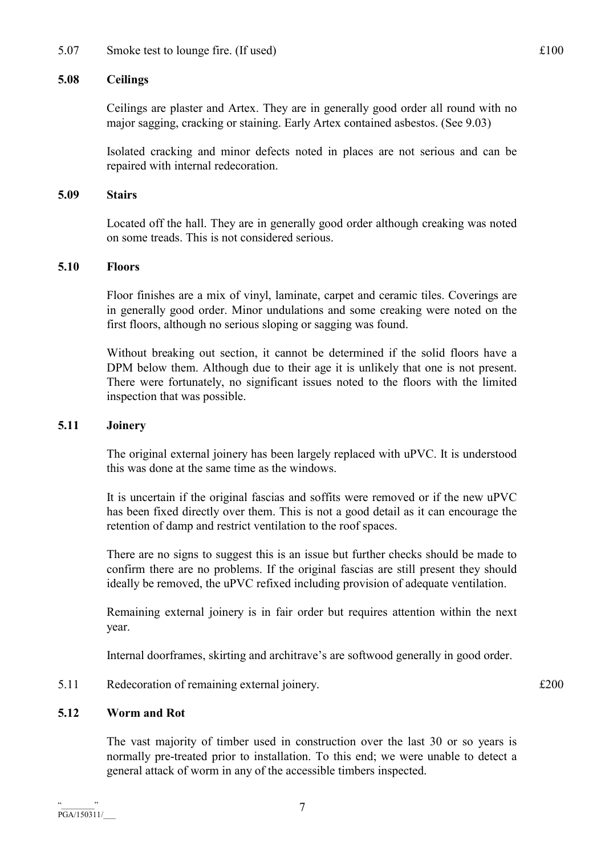5.07 Smoke test to lounge fire. (If used)  $\text{£}100$ 

# 5.08 Ceilings

 Ceilings are plaster and Artex. They are in generally good order all round with no major sagging, cracking or staining. Early Artex contained asbestos. (See 9.03)

 Isolated cracking and minor defects noted in places are not serious and can be repaired with internal redecoration.

# 5.09 Stairs

 Located off the hall. They are in generally good order although creaking was noted on some treads. This is not considered serious.

# 5.10 Floors

 Floor finishes are a mix of vinyl, laminate, carpet and ceramic tiles. Coverings are in generally good order. Minor undulations and some creaking were noted on the first floors, although no serious sloping or sagging was found.

 Without breaking out section, it cannot be determined if the solid floors have a DPM below them. Although due to their age it is unlikely that one is not present. There were fortunately, no significant issues noted to the floors with the limited inspection that was possible.

# 5.11 Joinery

 The original external joinery has been largely replaced with uPVC. It is understood this was done at the same time as the windows.

 It is uncertain if the original fascias and soffits were removed or if the new uPVC has been fixed directly over them. This is not a good detail as it can encourage the retention of damp and restrict ventilation to the roof spaces.

 There are no signs to suggest this is an issue but further checks should be made to confirm there are no problems. If the original fascias are still present they should ideally be removed, the uPVC refixed including provision of adequate ventilation.

 Remaining external joinery is in fair order but requires attention within the next year.

Internal doorframes, skirting and architrave's are softwood generally in good order.

5.11 Redecoration of remaining external joinery.  $\text{£}200$ 

### 5.12 Worm and Rot

 The vast majority of timber used in construction over the last 30 or so years is normally pre-treated prior to installation. To this end; we were unable to detect a general attack of worm in any of the accessible timbers inspected.

7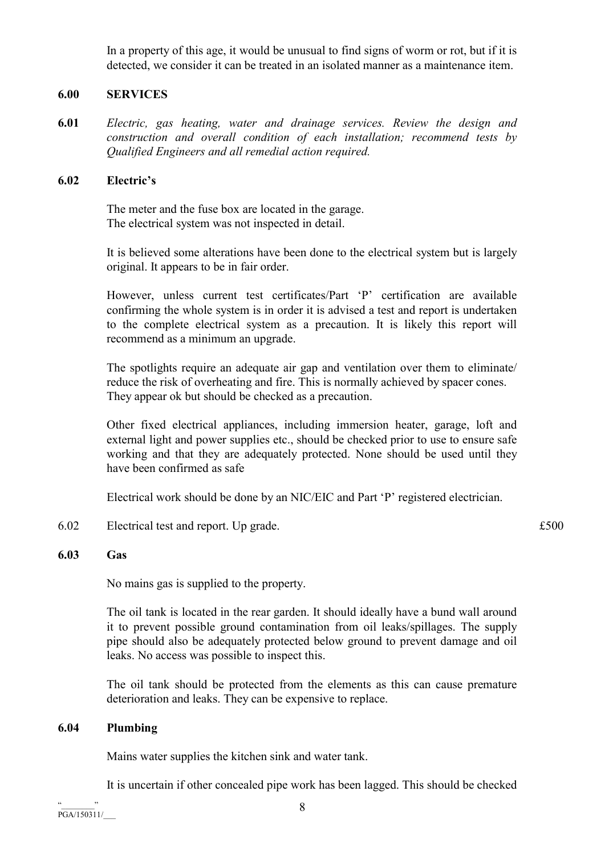In a property of this age, it would be unusual to find signs of worm or rot, but if it is detected, we consider it can be treated in an isolated manner as a maintenance item.

# 6.00 SERVICES

6.01 Electric, gas heating, water and drainage services. Review the design and construction and overall condition of each installation; recommend tests by Qualified Engineers and all remedial action required.

### 6.02 Electric's

 The meter and the fuse box are located in the garage. The electrical system was not inspected in detail.

 It is believed some alterations have been done to the electrical system but is largely original. It appears to be in fair order.

 However, unless current test certificates/Part 'P' certification are available confirming the whole system is in order it is advised a test and report is undertaken to the complete electrical system as a precaution. It is likely this report will recommend as a minimum an upgrade.

 The spotlights require an adequate air gap and ventilation over them to eliminate/ reduce the risk of overheating and fire. This is normally achieved by spacer cones. They appear ok but should be checked as a precaution.

 Other fixed electrical appliances, including immersion heater, garage, loft and external light and power supplies etc., should be checked prior to use to ensure safe working and that they are adequately protected. None should be used until they have been confirmed as safe

Electrical work should be done by an NIC/EIC and Part 'P' registered electrician.

- 6.02 Electrical test and report. Up grade. £500
- 

# 6.03 Gas

No mains gas is supplied to the property.

 The oil tank is located in the rear garden. It should ideally have a bund wall around it to prevent possible ground contamination from oil leaks/spillages. The supply pipe should also be adequately protected below ground to prevent damage and oil leaks. No access was possible to inspect this.

 The oil tank should be protected from the elements as this can cause premature deterioration and leaks. They can be expensive to replace.

### 6.04 Plumbing

Mains water supplies the kitchen sink and water tank.

It is uncertain if other concealed pipe work has been lagged. This should be checked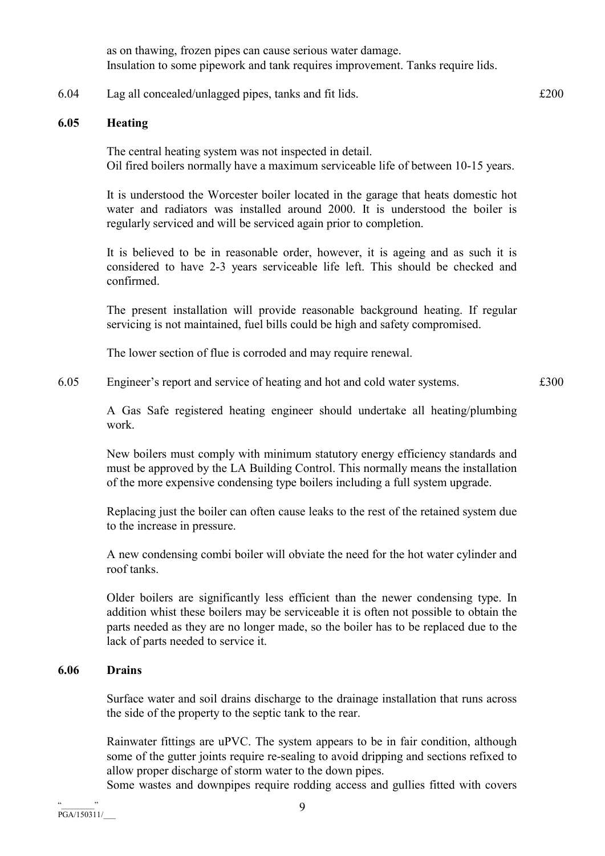as on thawing, frozen pipes can cause serious water damage. Insulation to some pipework and tank requires improvement. Tanks require lids.

6.04 Lag all concealed/unlagged pipes, tanks and fit lids. £200

#### 6.05 Heating

 The central heating system was not inspected in detail. Oil fired boilers normally have a maximum serviceable life of between 10-15 years.

 It is understood the Worcester boiler located in the garage that heats domestic hot water and radiators was installed around 2000. It is understood the boiler is regularly serviced and will be serviced again prior to completion.

 It is believed to be in reasonable order, however, it is ageing and as such it is considered to have 2-3 years serviceable life left. This should be checked and confirmed.

 The present installation will provide reasonable background heating. If regular servicing is not maintained, fuel bills could be high and safety compromised.

The lower section of flue is corroded and may require renewal.

6.05 Engineer's report and service of heating and hot and cold water systems. £300

 A Gas Safe registered heating engineer should undertake all heating/plumbing work.

 New boilers must comply with minimum statutory energy efficiency standards and must be approved by the LA Building Control. This normally means the installation of the more expensive condensing type boilers including a full system upgrade.

 Replacing just the boiler can often cause leaks to the rest of the retained system due to the increase in pressure.

 A new condensing combi boiler will obviate the need for the hot water cylinder and roof tanks.

 Older boilers are significantly less efficient than the newer condensing type. In addition whist these boilers may be serviceable it is often not possible to obtain the parts needed as they are no longer made, so the boiler has to be replaced due to the lack of parts needed to service it.

# 6.06 Drains

 Surface water and soil drains discharge to the drainage installation that runs across the side of the property to the septic tank to the rear.

 Rainwater fittings are uPVC. The system appears to be in fair condition, although some of the gutter joints require re-sealing to avoid dripping and sections refixed to allow proper discharge of storm water to the down pipes.

Some wastes and downpipes require rodding access and gullies fitted with covers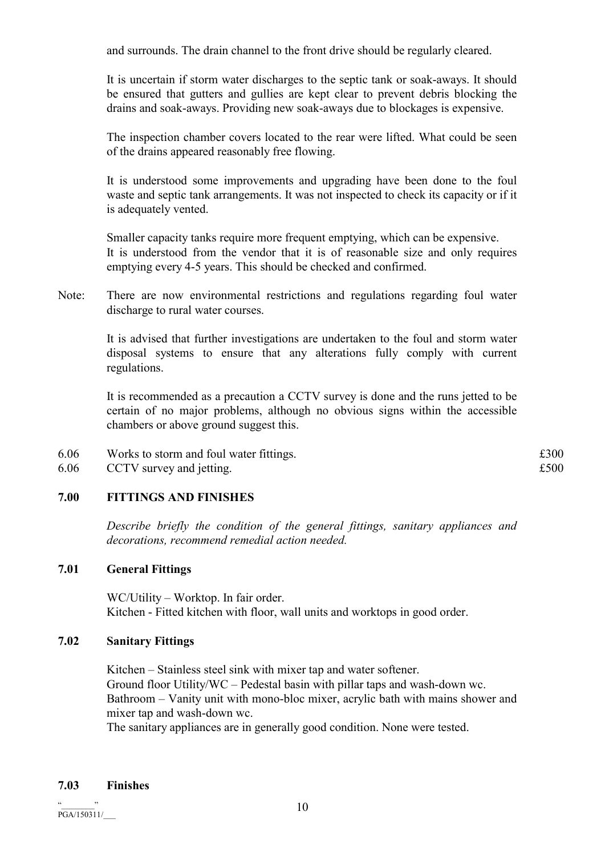and surrounds. The drain channel to the front drive should be regularly cleared.

 It is uncertain if storm water discharges to the septic tank or soak-aways. It should be ensured that gutters and gullies are kept clear to prevent debris blocking the drains and soak-aways. Providing new soak-aways due to blockages is expensive.

 The inspection chamber covers located to the rear were lifted. What could be seen of the drains appeared reasonably free flowing.

 It is understood some improvements and upgrading have been done to the foul waste and septic tank arrangements. It was not inspected to check its capacity or if it is adequately vented.

 Smaller capacity tanks require more frequent emptying, which can be expensive. It is understood from the vendor that it is of reasonable size and only requires emptying every 4-5 years. This should be checked and confirmed.

Note: There are now environmental restrictions and regulations regarding foul water discharge to rural water courses.

> It is advised that further investigations are undertaken to the foul and storm water disposal systems to ensure that any alterations fully comply with current regulations.

> It is recommended as a precaution a CCTV survey is done and the runs jetted to be certain of no major problems, although no obvious signs within the accessible chambers or above ground suggest this.

- 6.06 Works to storm and foul water fittings.  $\pounds 300$
- 6.06 CCTV survey and jetting.  $£500$

# 7.00 FITTINGS AND FINISHES

Describe briefly the condition of the general fittings, sanitary appliances and decorations, recommend remedial action needed.

### 7.01 General Fittings

 WC/Utility – Worktop. In fair order. Kitchen - Fitted kitchen with floor, wall units and worktops in good order.

### 7.02 Sanitary Fittings

 Kitchen – Stainless steel sink with mixer tap and water softener. Ground floor Utility/WC – Pedestal basin with pillar taps and wash-down wc. Bathroom – Vanity unit with mono-bloc mixer, acrylic bath with mains shower and mixer tap and wash-down wc.

The sanitary appliances are in generally good condition. None were tested.

# 7.03 Finishes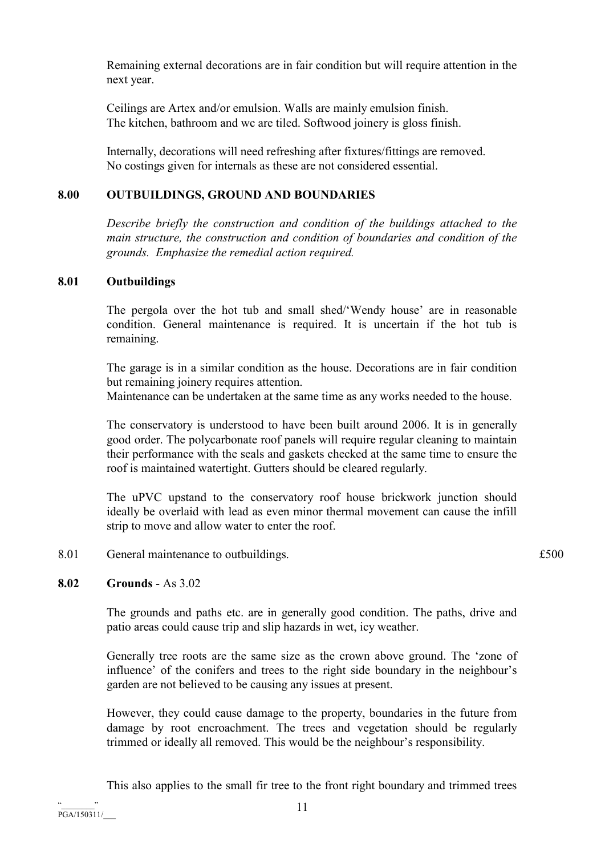Remaining external decorations are in fair condition but will require attention in the next year.

 Ceilings are Artex and/or emulsion. Walls are mainly emulsion finish. The kitchen, bathroom and wc are tiled. Softwood joinery is gloss finish.

 Internally, decorations will need refreshing after fixtures/fittings are removed. No costings given for internals as these are not considered essential.

# 8.00 OUTBUILDINGS, GROUND AND BOUNDARIES

Describe briefly the construction and condition of the buildings attached to the main structure, the construction and condition of boundaries and condition of the grounds. Emphasize the remedial action required.

# 8.01 Outbuildings

 The pergola over the hot tub and small shed/'Wendy house' are in reasonable condition. General maintenance is required. It is uncertain if the hot tub is remaining.

 The garage is in a similar condition as the house. Decorations are in fair condition but remaining joinery requires attention.

Maintenance can be undertaken at the same time as any works needed to the house.

 The conservatory is understood to have been built around 2006. It is in generally good order. The polycarbonate roof panels will require regular cleaning to maintain their performance with the seals and gaskets checked at the same time to ensure the roof is maintained watertight. Gutters should be cleared regularly.

 The uPVC upstand to the conservatory roof house brickwork junction should ideally be overlaid with lead as even minor thermal movement can cause the infill strip to move and allow water to enter the roof.

8.01 General maintenance to outbuildings.  $£500$ 

# 8.02 Grounds - As 3.02

 The grounds and paths etc. are in generally good condition. The paths, drive and patio areas could cause trip and slip hazards in wet, icy weather.

 Generally tree roots are the same size as the crown above ground. The 'zone of influence' of the conifers and trees to the right side boundary in the neighbour's garden are not believed to be causing any issues at present.

 However, they could cause damage to the property, boundaries in the future from damage by root encroachment. The trees and vegetation should be regularly trimmed or ideally all removed. This would be the neighbour's responsibility.

This also applies to the small fir tree to the front right boundary and trimmed trees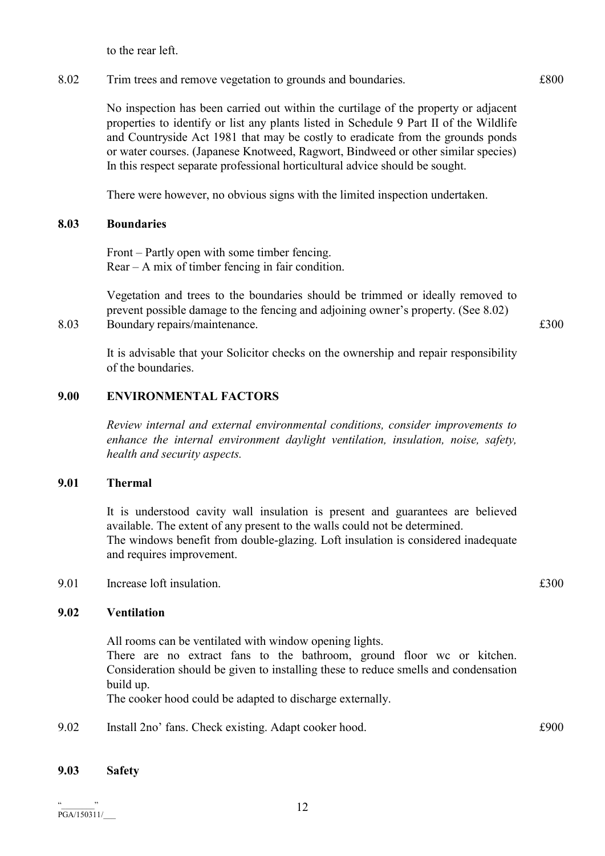to the rear left.

8.02 Trim trees and remove vegetation to grounds and boundaries.  $\pounds 800$ 

 No inspection has been carried out within the curtilage of the property or adjacent properties to identify or list any plants listed in Schedule 9 Part II of the Wildlife and Countryside Act 1981 that may be costly to eradicate from the grounds ponds or water courses. (Japanese Knotweed, Ragwort, Bindweed or other similar species) In this respect separate professional horticultural advice should be sought.

There were however, no obvious signs with the limited inspection undertaken.

### 8.03 Boundaries

 Front – Partly open with some timber fencing. Rear – A mix of timber fencing in fair condition.

 Vegetation and trees to the boundaries should be trimmed or ideally removed to prevent possible damage to the fencing and adjoining owner's property. (See 8.02) 8.03 Boundary repairs/maintenance.  $\text{\pounds}300$ 

 It is advisable that your Solicitor checks on the ownership and repair responsibility of the boundaries.

# 9.00 ENVIRONMENTAL FACTORS

Review internal and external environmental conditions, consider improvements to enhance the internal environment daylight ventilation, insulation, noise, safety, health and security aspects.

### 9.01 Thermal

 It is understood cavity wall insulation is present and guarantees are believed available. The extent of any present to the walls could not be determined. The windows benefit from double-glazing. Loft insulation is considered inadequate and requires improvement.

9.01 Increase loft insulation.  $\epsilon$  500

# 9.02 Ventilation

 All rooms can be ventilated with window opening lights. There are no extract fans to the bathroom, ground floor wc or kitchen. Consideration should be given to installing these to reduce smells and condensation build up.

The cooker hood could be adapted to discharge externally.

9.02 Install 2no' fans. Check existing. Adapt cooker hood.  $\pounds 900$ 

# 9.03 Safety

 $\cdots$   $\cdots$ PGA/150311/\_\_\_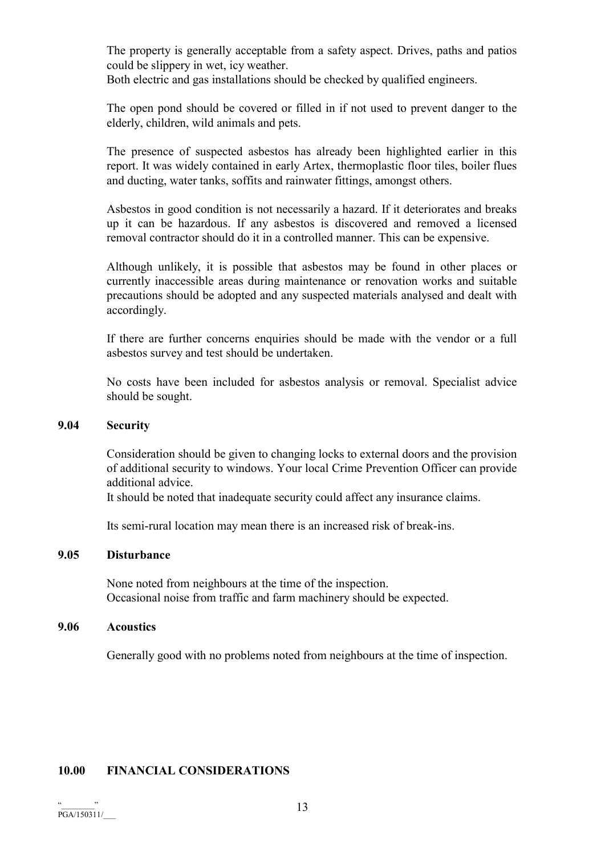The property is generally acceptable from a safety aspect. Drives, paths and patios could be slippery in wet, icy weather.

Both electric and gas installations should be checked by qualified engineers.

 The open pond should be covered or filled in if not used to prevent danger to the elderly, children, wild animals and pets.

 The presence of suspected asbestos has already been highlighted earlier in this report. It was widely contained in early Artex, thermoplastic floor tiles, boiler flues and ducting, water tanks, soffits and rainwater fittings, amongst others.

 Asbestos in good condition is not necessarily a hazard. If it deteriorates and breaks up it can be hazardous. If any asbestos is discovered and removed a licensed removal contractor should do it in a controlled manner. This can be expensive.

 Although unlikely, it is possible that asbestos may be found in other places or currently inaccessible areas during maintenance or renovation works and suitable precautions should be adopted and any suspected materials analysed and dealt with accordingly.

 If there are further concerns enquiries should be made with the vendor or a full asbestos survey and test should be undertaken.

 No costs have been included for asbestos analysis or removal. Specialist advice should be sought.

#### 9.04 Security

 Consideration should be given to changing locks to external doors and the provision of additional security to windows. Your local Crime Prevention Officer can provide additional advice.

It should be noted that inadequate security could affect any insurance claims.

Its semi-rural location may mean there is an increased risk of break-ins.

#### 9.05 Disturbance

 None noted from neighbours at the time of the inspection. Occasional noise from traffic and farm machinery should be expected.

#### 9.06 Acoustics

Generally good with no problems noted from neighbours at the time of inspection.

### 10.00 FINANCIAL CONSIDERATIONS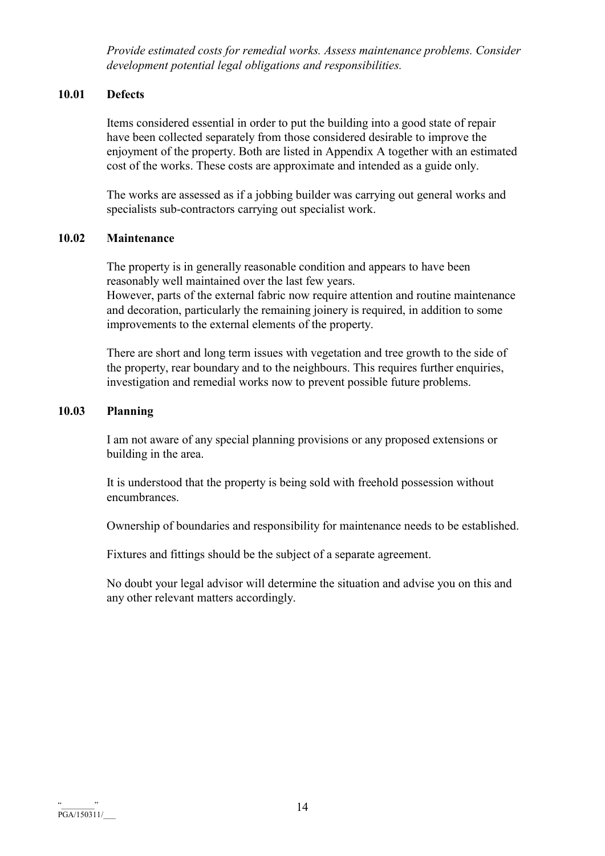Provide estimated costs for remedial works. Assess maintenance problems. Consider development potential legal obligations and responsibilities.

# 10.01 Defects

 Items considered essential in order to put the building into a good state of repair have been collected separately from those considered desirable to improve the enjoyment of the property. Both are listed in Appendix A together with an estimated cost of the works. These costs are approximate and intended as a guide only.

 The works are assessed as if a jobbing builder was carrying out general works and specialists sub-contractors carrying out specialist work.

# 10.02 Maintenance

 The property is in generally reasonable condition and appears to have been reasonably well maintained over the last few years.

 However, parts of the external fabric now require attention and routine maintenance and decoration, particularly the remaining joinery is required, in addition to some improvements to the external elements of the property.

 There are short and long term issues with vegetation and tree growth to the side of the property, rear boundary and to the neighbours. This requires further enquiries, investigation and remedial works now to prevent possible future problems.

# 10.03 Planning

 I am not aware of any special planning provisions or any proposed extensions or building in the area.

 It is understood that the property is being sold with freehold possession without encumbrances.

Ownership of boundaries and responsibility for maintenance needs to be established.

Fixtures and fittings should be the subject of a separate agreement.

 No doubt your legal advisor will determine the situation and advise you on this and any other relevant matters accordingly.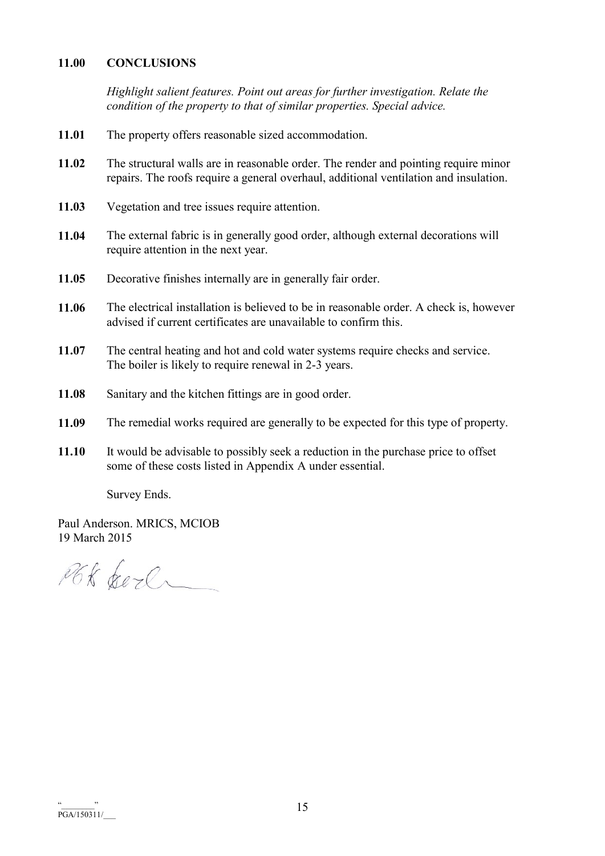### 11.00 CONCLUSIONS

Highlight salient features. Point out areas for further investigation. Relate the condition of the property to that of similar properties. Special advice.

- 11.01 The property offers reasonable sized accommodation.
- 11.02 The structural walls are in reasonable order. The render and pointing require minor repairs. The roofs require a general overhaul, additional ventilation and insulation.
- 11.03 Vegetation and tree issues require attention.
- 11.04 The external fabric is in generally good order, although external decorations will require attention in the next year.
- 11.05 Decorative finishes internally are in generally fair order.
- 11.06 The electrical installation is believed to be in reasonable order. A check is, however advised if current certificates are unavailable to confirm this.
- 11.07 The central heating and hot and cold water systems require checks and service. The boiler is likely to require renewal in 2-3 years.
- 11.08 Sanitary and the kitchen fittings are in good order.
- 11.09 The remedial works required are generally to be expected for this type of property.
- 11.10 It would be advisable to possibly seek a reduction in the purchase price to offset some of these costs listed in Appendix A under essential.

Survey Ends.

Paul Anderson. MRICS, MCIOB 19 March 2015

PGK berl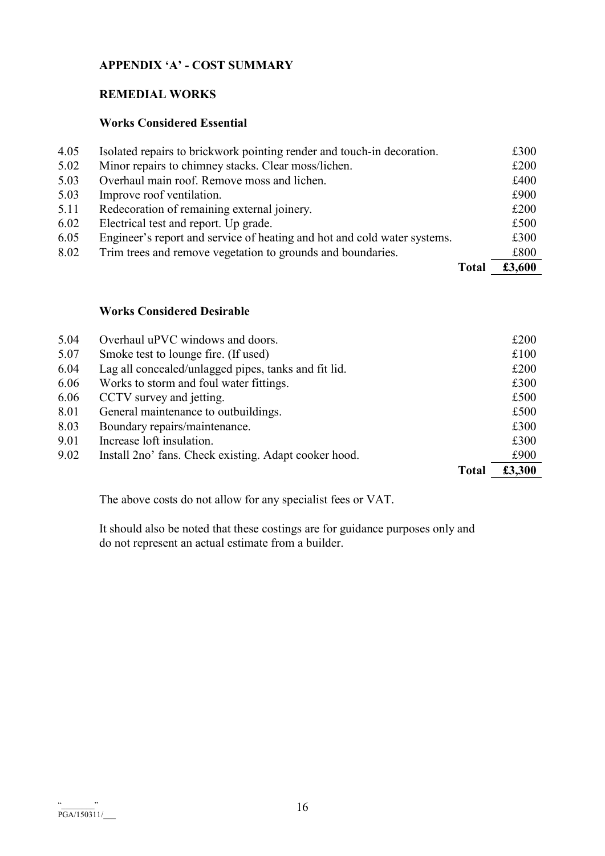# APPENDIX 'A' - COST SUMMARY

# REMEDIAL WORKS

# Works Considered Essential

|      |                                                                          | Total | £3,600 |
|------|--------------------------------------------------------------------------|-------|--------|
| 8.02 | Trim trees and remove vegetation to grounds and boundaries.              |       | £800   |
| 6.05 | Engineer's report and service of heating and hot and cold water systems. |       | £300   |
| 6.02 | Electrical test and report. Up grade.                                    |       | £500   |
| 5.11 | Redecoration of remaining external joinery.                              |       | £200   |
| 5.03 | Improve roof ventilation.                                                |       | £900   |
| 5.03 | Overhaul main roof. Remove moss and lichen.                              |       | £400   |
| 5.02 | Minor repairs to chimney stacks. Clear moss/lichen.                      |       | £200   |
| 4.05 | Isolated repairs to brickwork pointing render and touch-in decoration.   |       | £300   |

# Works Considered Desirable

|      |                                                       | <b>Total</b> | £3,300 |
|------|-------------------------------------------------------|--------------|--------|
| 9.02 | Install 2no' fans. Check existing. Adapt cooker hood. |              | £900   |
| 9.01 | Increase loft insulation.                             |              | £300   |
| 8.03 | Boundary repairs/maintenance.                         |              | £300   |
| 8.01 | General maintenance to outbuildings.                  |              | £500   |
| 6.06 | CCTV survey and jetting.                              |              | £500   |
| 6.06 | Works to storm and foul water fittings.               |              | £300   |
| 6.04 | Lag all concealed/unlagged pipes, tanks and fit lid.  |              | £200   |
| 5.07 | Smoke test to lounge fire. (If used)                  |              | £100   |
| 5.04 | Overhaul uPVC windows and doors.                      |              | £200   |

The above costs do not allow for any specialist fees or VAT.

 It should also be noted that these costings are for guidance purposes only and do not represent an actual estimate from a builder.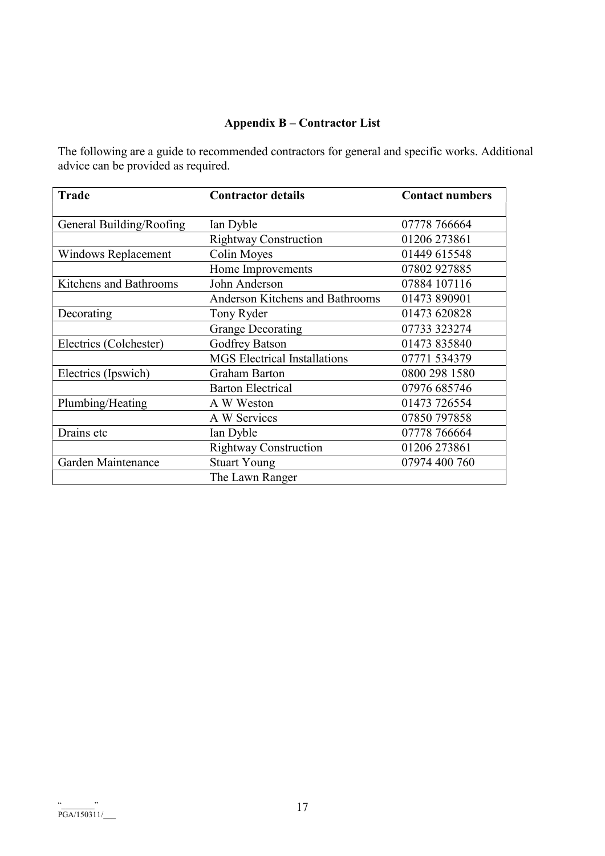# Appendix B – Contractor List

The following are a guide to recommended contractors for general and specific works. Additional advice can be provided as required.

| <b>Trade</b>               | <b>Contractor details</b>           | <b>Contact numbers</b> |
|----------------------------|-------------------------------------|------------------------|
| General Building/Roofing   | Ian Dyble                           | 07778 766664           |
|                            | <b>Rightway Construction</b>        | 01206 273861           |
| <b>Windows Replacement</b> | <b>Colin Moyes</b>                  | 01449 615548           |
|                            | Home Improvements                   | 07802 927885           |
| Kitchens and Bathrooms     | John Anderson                       | 07884 107116           |
|                            | Anderson Kitchens and Bathrooms     | 01473 890901           |
| Decorating                 | Tony Ryder                          | 01473 620828           |
|                            | <b>Grange Decorating</b>            | 07733 323274           |
| Electrics (Colchester)     | <b>Godfrey Batson</b>               | 01473 835840           |
|                            | <b>MGS</b> Electrical Installations | 07771 534379           |
| Electrics (Ipswich)        | <b>Graham Barton</b>                | 0800 298 1580          |
|                            | <b>Barton Electrical</b>            | 07976 685746           |
| Plumbing/Heating           | A W Weston                          | 01473 726554           |
|                            | A W Services                        | 07850 797858           |
| Drains etc                 | Ian Dyble                           | 07778 766664           |
|                            | <b>Rightway Construction</b>        | 01206 273861           |
| Garden Maintenance         | <b>Stuart Young</b>                 | 07974 400 760          |
|                            | The Lawn Ranger                     |                        |